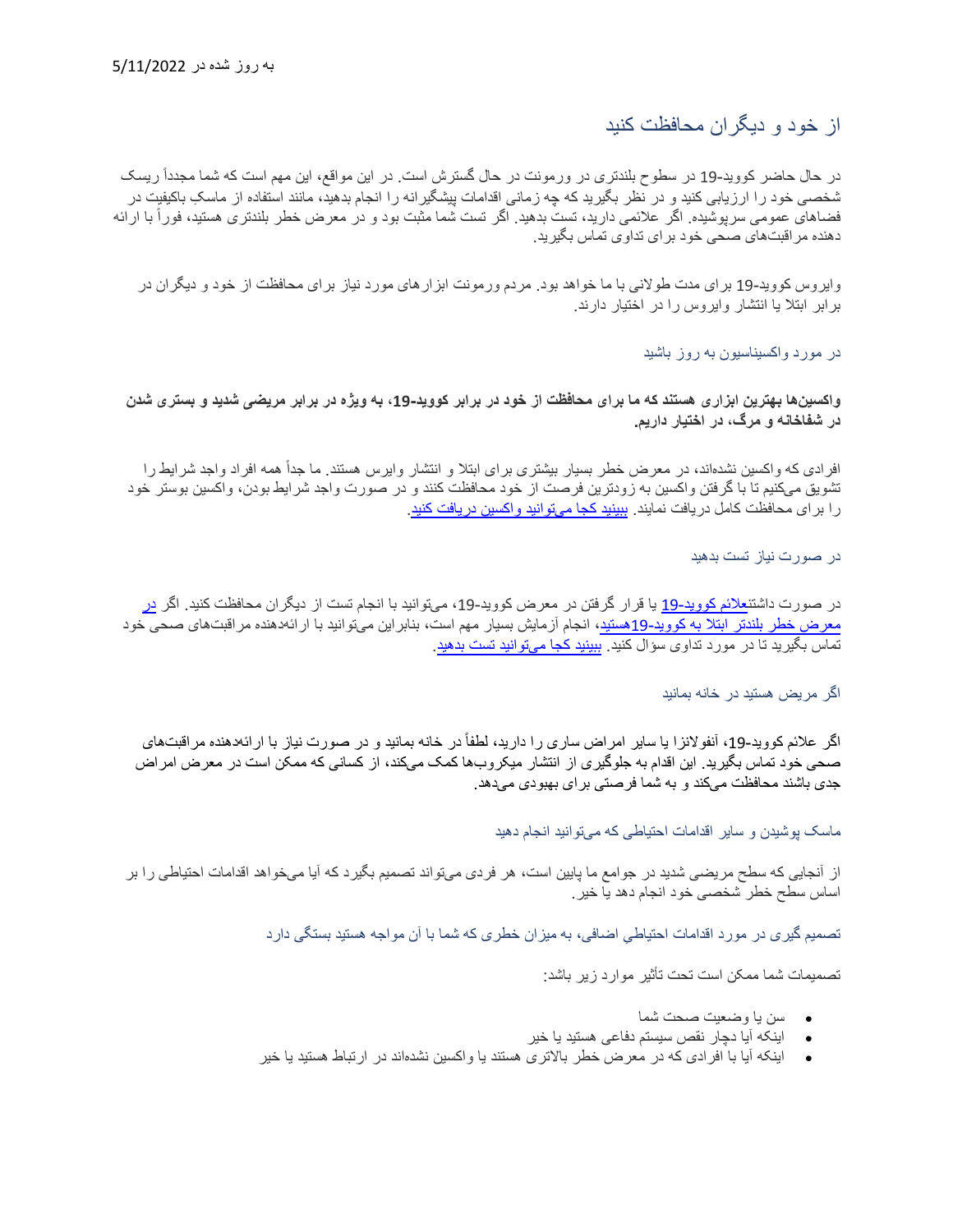#### از خود و دیگران محافظت کنید

در حال حاضر کووید-19 در سطوح بلندتری در ورمونت در حال گسترش است. در این مواقع، این مهم است که شما مجدداً ریسک ِ شخصی خود را ارزیابی کنید و در نظر بگیرید کھ چھ زمانی اقدامات پیشگیرانھ را انجام بدھید، مانند استفاده از ماسک باکیفیت در فضاهای عمومی سرپوشیده. اگر علائمی دارید، تست بدهید. اگر تست شما مثبت بود و در معرض خطر بلندتری هستید، فوراً با ارائه دھنده مراقبت ھای صحی خود برای تداوی تماس بگیرید.

وایروس کووید 19- برای مدت طولانی با ما خواھد بود. مردم ورمونت ابزارھای مورد نیاز برای محافظت از خود و دیگران در برابر ابتلا یا انتشار وایروس را در اختیار دارند.

در مورد واکسیناسیون بھ روز باشید

**واکسین ھا بھترین ابزاری ھستند کھ ما برای محافظت از خود در برابر کووید- ،19 بھ ویژه در برابر مریضی شدید و بستری شدن در شفاخانھ و مرگ، در اختیار داریم.**

افرادی که واکسین نشدهاند، در معرض خطر بسیار بیشتری برای ابتلا و انتشار وایرس هستند. ما جداً همه افراد واجد شرایط را تشویق می کنیم تا با گرفتن واکسین بھ زودترین فرصت از خود محافظت کنند و در صورت واجد شرایط بودن، واکسین بوستر خود را برای محافظت کامل دریافت نمایند<sub>.</sub> ب<u>بینید کجا میتوانید واکسین دریافت کنید</u>.

در صورت نیاز تست بدھید

در صورت داشتن<u>علائم کووید-19</u> یا قرار گرفتن [در](https://www.cdc.gov/coronavirus/2019-ncov/need-extra-precautions/people-with-medical-conditions.html) معرض کووید-19، میتوانید با انجام تست از دیگران محافظت کنید<sub>.</sub> اگر <u>در</u> [معرض خطر بلندتر ابتلا بھ کووید](https://www.cdc.gov/coronavirus/2019-ncov/need-extra-precautions/people-with-medical-conditions.html) 19-ھستید، انجام آزمایش بسیار مھم است، بنابراین میتوانید با ارائھدھنده مراقبت ھای صحی خود تماس بگیرید تا در مورد تداوی سؤال کنید. [ببینید کجا میتوانید تست بدھید.](https://www.healthvermont.gov/covid-19/testing/where-get-tested)

اگر مریض ھستید در خانھ بمانید

اگر علائم کووید-19، آنفولانزا یا سایر امراض ساری را دارید، لطفأ در خانه بمانید و در صورت نیاز با ارائهدهنده مراقبتهای صحی خود تماس بگیرید. این اقدام بھ جلوگیری از انتشار میکروب ھا کمک می کند، از کسانی کھ ممکن است در معرض امراض جدی باشند محافظت می کند و بھ شما فرصتی برای بھبودی می دھد.

ماسک پوشیدن و سایر اقدامات احتیاطی کھ می توانید انجام دھید

از آنجایی کھ سطح مریضی شدید در جوامع ما پایین است، ھر فردی میتواند تصمیم بگیرد کھ آیا می خواھد اقدامات احتیاطی را بر اساس سطح خطر شخصی خود انجام دھد یا خیر.

ِ تصمیم گیری در مورد اقدامات احتیاطی اضافی، بھ میزان خطری کھ شما با آن مواجھ ھستید بستگی دارد

تصمیمات شما ممکن است تحت تأثیر موارد زیر باشد:

- سن یا وضعیت صحت شما
- اینکھ آیا دچار نقص سیستم دفاعی ھستید یا خیر
- اینکھ آیا با افرادی کھ در معرض خطر بالاتری ھستند یا واکسین نشدهاند در ارتباط ھستید یا خیر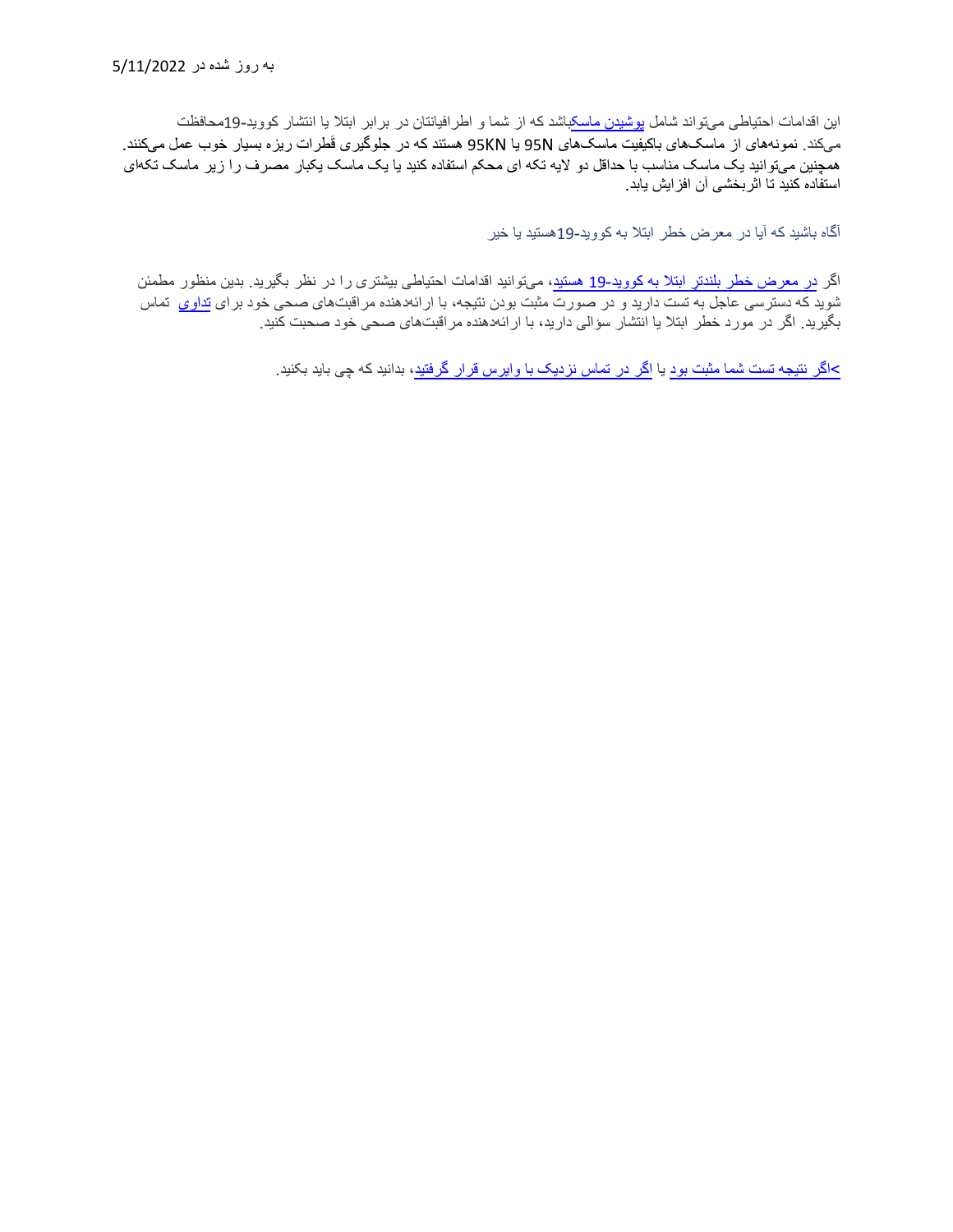این اقدامات احتیاطی می تواند شامل [پوشیدن ماسکب](https://www.cdc.gov/coronavirus/2019-ncov/prevent-getting-sick/masks.html)اشد کھ از شما و اطرافیانتان در برابر ابتلا یا انتشار کووید19-محافظت میکند<sub>.</sub> نمونههای از ماسک،ای باکیفیت ماسک،های 95N یا 95KN هستند که در جلوگیری قَطرات ریزه بسیار خوب عمل میکنند<sub>.</sub> ھمچنین میتوانید یک ماسک مناسب با حداقل دو لایھ تکھ ای محکم استفاده کنید یا یک ماسک یکبار مصرف را زیر ماسک تکھ ای استفاده کنید تا اثربخشی آن افزایش یابد.

آگاه باشید کھ آیا در معرض خطر ابتلا بھ کووید- 19ھستید یا خیر

اگر <u>در</u> معرض خطر بلندتر ابتلا به کووید-19 هستید، میتوانید اقدامات احتیاطی بیشتری را در نظر بگیرید<sub>.</sub> بدین منظور مطمئن شوید که دسترسی عاجل به تست دارید و در صورت مثبت بودن نتیجه، با ارائهدهنده مراقبتهای صحی خود برای <mark>تداوی</mark> ت*م*اس بگیرید. اگر در مورد خطر ابتلا یا انتشار سؤالی دارید، با ارائھ دھنده مراقبت ھای صحی خود صحبت کنید.

[>اگر نتیجھ تست شما مثبت بود](https://www.healthvermont.gov/covid-19/symptoms-sickness/what-do-if-you-test-positive-covid-19) یا [اگر در تماس نزدیک با وایرس قرار گرفتید،](https://www.healthvermont.gov/covid-19/symptoms-sickness/what-do-if-you-are-close-contact) بدانید کھ چی باید بکنید.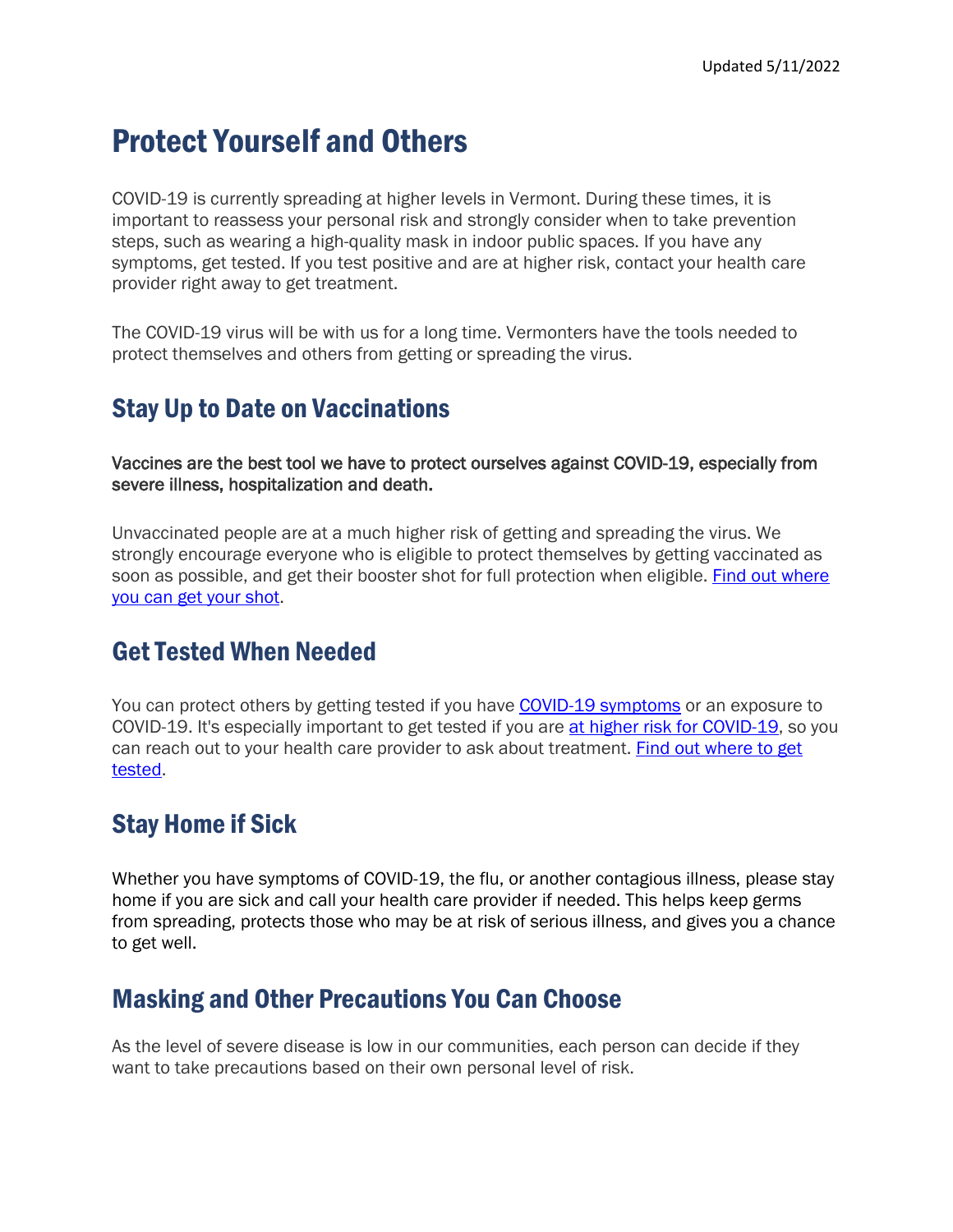# Protect Yourself and Others

COVID-19 is currently spreading at higher levels in Vermont. During these times, it is important to reassess your personal risk and strongly consider when to take prevention steps, such as wearing a high-quality mask in indoor public spaces. If you have any symptoms, get tested. If you test positive and are at higher risk, contact your health care provider right away to get treatment.

The COVID-19 virus will be with us for a long time. Vermonters have the tools needed to protect themselves and others from getting or spreading the virus.

# Stay Up to Date on Vaccinations

Vaccines are the best tool we have to protect ourselves against COVID-19, especially from severe illness, hospitalization and death.

Unvaccinated people are at a much higher risk of getting and spreading the virus. We strongly encourage everyone who is eligible to protect themselves by getting vaccinated as soon as possible, and get their booster shot for full protection when eligible. Find out where [you can get your shot.](https://www.healthvermont.gov/covid-19/vaccine/getting-covid-19-vaccine)

### Get Tested When Needed

You can protect others by getting tested if you have [COVID-19 symptoms](https://www.healthvermont.gov/covid-19/symptoms-sickness/symptoms) or an exposure to COVID-19. It's especially important to get tested if you are [at higher risk for COVID-19,](https://www.cdc.gov/coronavirus/2019-ncov/need-extra-precautions/people-with-medical-conditions.html) so you can reach out to your health care provider to ask about treatment. [Find out where to get](https://www.healthvermont.gov/covid-19/testing/where-get-tested)  [tested.](https://www.healthvermont.gov/covid-19/testing/where-get-tested)

# Stay Home if Sick

Whether you have symptoms of COVID-19, the flu, or another contagious illness, please stay home if you are sick and call your health care provider if needed. This helps keep germs from spreading, protects those who may be at risk of serious illness, and gives you a chance to get well.

### Masking and Other Precautions You Can Choose

As the level of severe disease is low in our communities, each person can decide if they want to take precautions based on their own personal level of risk.